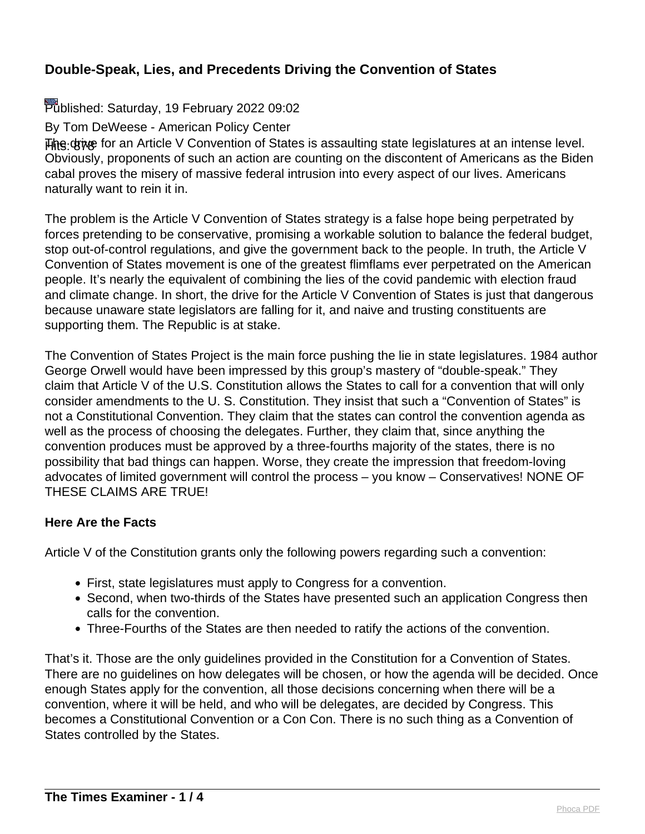# Published: Saturday, 19 February 2022 09:02

By Tom DeWeese - American Policy Center

**Hite drive** for an Article V Convention of States is assaulting state legislatures at an intense level. Obviously, proponents of such an action are counting on the discontent of Americans as the Biden cabal proves the misery of massive federal intrusion into every aspect of our lives. Americans naturally want to rein it in.

The problem is the Article V Convention of States strategy is a false hope being perpetrated by forces pretending to be conservative, promising a workable solution to balance the federal budget, stop out-of-control regulations, and give the government back to the people. In truth, the Article V Convention of States movement is one of the greatest flimflams ever perpetrated on the American people. It's nearly the equivalent of combining the lies of the covid pandemic with election fraud and climate change. In short, the drive for the Article V Convention of States is just that dangerous because unaware state legislators are falling for it, and naive and trusting constituents are supporting them. The Republic is at stake.

The Convention of States Project is the main force pushing the lie in state legislatures. 1984 author George Orwell would have been impressed by this group's mastery of "double-speak." They claim that Article V of the U.S. Constitution allows the States to call for a convention that will only consider amendments to the U. S. Constitution. They insist that such a "Convention of States" is not a Constitutional Convention. They claim that the states can control the convention agenda as well as the process of choosing the delegates. Further, they claim that, since anything the convention produces must be approved by a three-fourths majority of the states, there is no possibility that bad things can happen. Worse, they create the impression that freedom-loving advocates of limited government will control the process – you know – Conservatives! NONE OF THESE CLAIMS ARE TRUE!

#### **Here Are the Facts**

Article V of the Constitution grants only the following powers regarding such a convention:

- First, state legislatures must apply to Congress for a convention.
- Second, when two-thirds of the States have presented such an application Congress then calls for the convention.
- Three-Fourths of the States are then needed to ratify the actions of the convention.

That's it. Those are the only guidelines provided in the Constitution for a Convention of States. There are no guidelines on how delegates will be chosen, or how the agenda will be decided. Once enough States apply for the convention, all those decisions concerning when there will be a convention, where it will be held, and who will be delegates, are decided by Congress. This becomes a Constitutional Convention or a Con Con. There is no such thing as a Convention of States controlled by the States.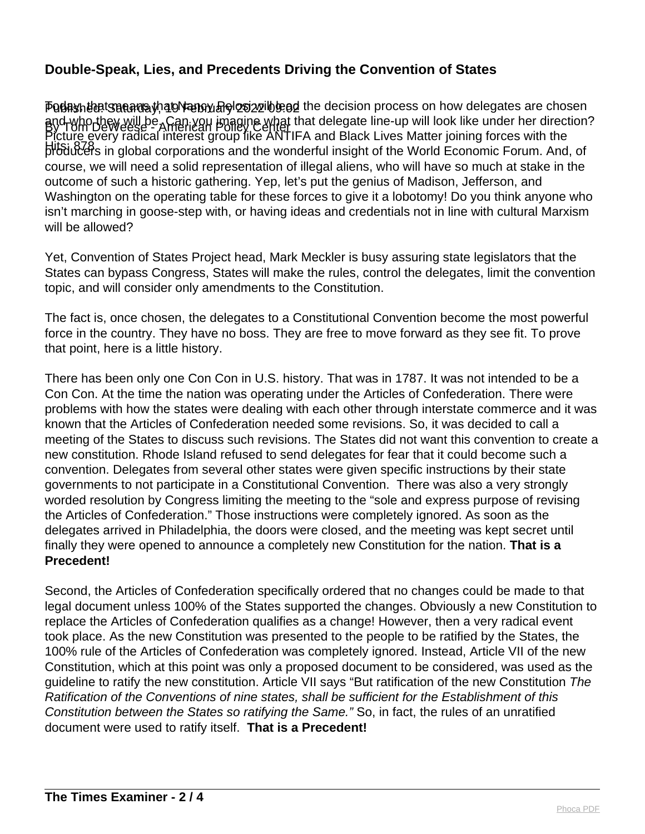Published: Saturday, 19 February 2022 09:02 Today, that means that Nancy Pelosi will lead the decision process on how delegates are chosen By Tom DeWeese - American Policy Center and who they will be. Can you imagine what that delegate line-up will look like under her direction? Hits: 878 producers in global corporations and the wonderful insight of the World Economic Forum. And, of Picture every radical interest group like ANTIFA and Black Lives Matter joining forces with the course, we will need a solid representation of illegal aliens, who will have so much at stake in the outcome of such a historic gathering. Yep, let's put the genius of Madison, Jefferson, and Washington on the operating table for these forces to give it a lobotomy! Do you think anyone who isn't marching in goose-step with, or having ideas and credentials not in line with cultural Marxism will be allowed?

Yet, Convention of States Project head, Mark Meckler is busy assuring state legislators that the States can bypass Congress, States will make the rules, control the delegates, limit the convention topic, and will consider only amendments to the Constitution.

The fact is, once chosen, the delegates to a Constitutional Convention become the most powerful force in the country. They have no boss. They are free to move forward as they see fit. To prove that point, here is a little history.

There has been only one Con Con in U.S. history. That was in 1787. It was not intended to be a Con Con. At the time the nation was operating under the Articles of Confederation. There were problems with how the states were dealing with each other through interstate commerce and it was known that the Articles of Confederation needed some revisions. So, it was decided to call a meeting of the States to discuss such revisions. The States did not want this convention to create a new constitution. Rhode Island refused to send delegates for fear that it could become such a convention. Delegates from several other states were given specific instructions by their state governments to not participate in a Constitutional Convention. There was also a very strongly worded resolution by Congress limiting the meeting to the "sole and express purpose of revising the Articles of Confederation." Those instructions were completely ignored. As soon as the delegates arrived in Philadelphia, the doors were closed, and the meeting was kept secret until finally they were opened to announce a completely new Constitution for the nation. **That is a Precedent!**

Second, the Articles of Confederation specifically ordered that no changes could be made to that legal document unless 100% of the States supported the changes. Obviously a new Constitution to replace the Articles of Confederation qualifies as a change! However, then a very radical event took place. As the new Constitution was presented to the people to be ratified by the States, the 100% rule of the Articles of Confederation was completely ignored. Instead, Article VII of the new Constitution, which at this point was only a proposed document to be considered, was used as the guideline to ratify the new constitution. Article VII says "But ratification of the new Constitution The Ratification of the Conventions of nine states, shall be sufficient for the Establishment of this Constitution between the States so ratifying the Same." So, in fact, the rules of an unratified document were used to ratify itself. **That is a Precedent!**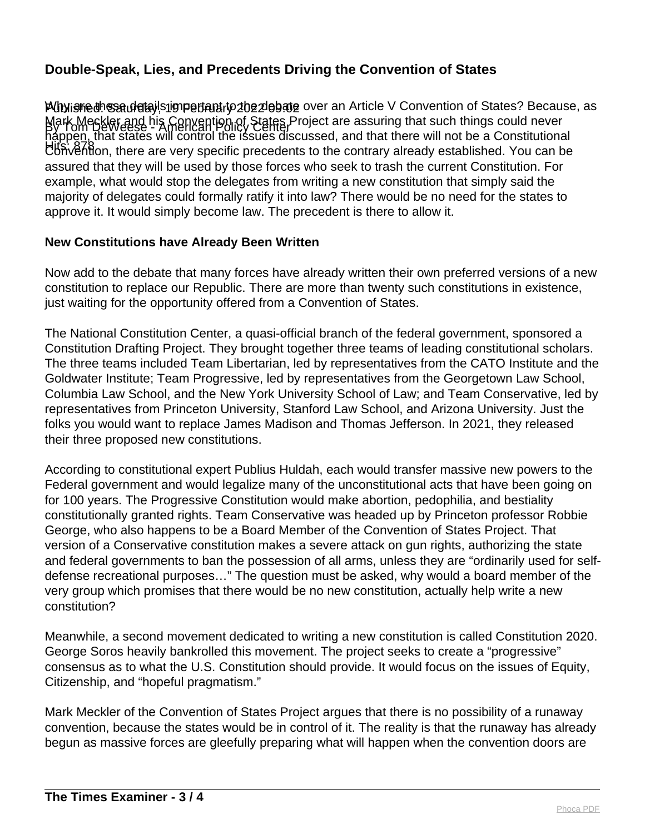PUblishedn Saudetajls impertant to the debate over an Article V Convention of States? Because, as By Tom DeWeese - American Policy Center Mark Meckler and his Convention of States Project are assuring that such things could never Hits: 878 Convention, there are very specific precedents to the contrary already established. You can be happen, that states will control the issues discussed, and that there will not be a Constitutional assured that they will be used by those forces who seek to trash the current Constitution. For example, what would stop the delegates from writing a new constitution that simply said the majority of delegates could formally ratify it into law? There would be no need for the states to approve it. It would simply become law. The precedent is there to allow it.

#### **New Constitutions have Already Been Written**

Now add to the debate that many forces have already written their own preferred versions of a new constitution to replace our Republic. There are more than twenty such constitutions in existence, just waiting for the opportunity offered from a Convention of States.

The National Constitution Center, a quasi-official branch of the federal government, sponsored a Constitution Drafting Project. They brought together three teams of leading constitutional scholars. The three teams included Team Libertarian, led by representatives from the CATO Institute and the Goldwater Institute; Team Progressive, led by representatives from the Georgetown Law School, Columbia Law School, and the New York University School of Law; and Team Conservative, led by representatives from Princeton University, Stanford Law School, and Arizona University. Just the folks you would want to replace James Madison and Thomas Jefferson. In 2021, they released their three proposed new constitutions.

According to constitutional expert Publius Huldah, each would transfer massive new powers to the Federal government and would legalize many of the unconstitutional acts that have been going on for 100 years. The Progressive Constitution would make abortion, pedophilia, and bestiality constitutionally granted rights. Team Conservative was headed up by Princeton professor Robbie George, who also happens to be a Board Member of the Convention of States Project. That version of a Conservative constitution makes a severe attack on gun rights, authorizing the state and federal governments to ban the possession of all arms, unless they are "ordinarily used for selfdefense recreational purposes…" The question must be asked, why would a board member of the very group which promises that there would be no new constitution, actually help write a new constitution?

Meanwhile, a second movement dedicated to writing a new constitution is called Constitution 2020. George Soros heavily bankrolled this movement. The project seeks to create a "progressive" consensus as to what the U.S. Constitution should provide. It would focus on the issues of Equity, Citizenship, and "hopeful pragmatism."

Mark Meckler of the Convention of States Project argues that there is no possibility of a runaway convention, because the states would be in control of it. The reality is that the runaway has already begun as massive forces are gleefully preparing what will happen when the convention doors are